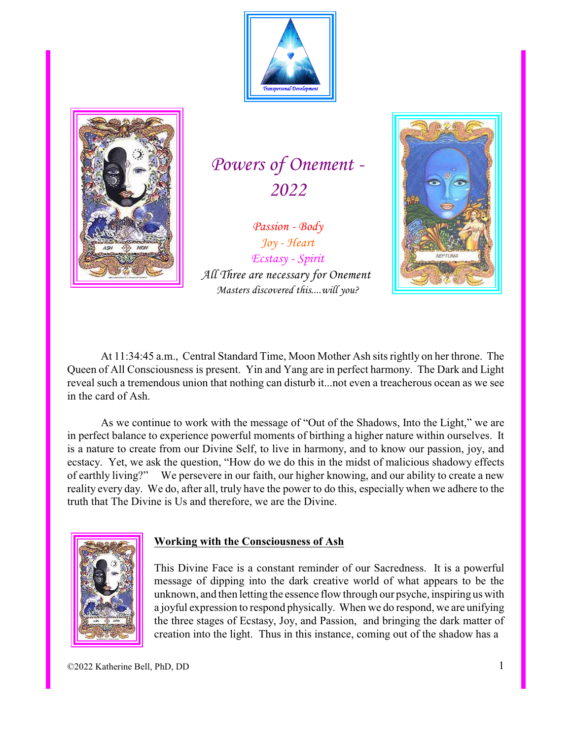



*Powers of Onement - 2022*

*Passion - Body Joy - Heart Ecstasy - Spirit All Three are necessary for Onement Masters discovered this....will you?*



At 11:34:45 a.m., Central Standard Time, Moon Mother Ash sits rightly on her throne. The Queen of All Consciousness is present. Yin and Yang are in perfect harmony. The Dark and Light reveal such a tremendous union that nothing can disturb it...not even a treacherous ocean as we see in the card of Ash.

As we continue to work with the message of "Out of the Shadows, Into the Light," we are in perfect balance to experience powerful moments of birthing a higher nature within ourselves. It is a nature to create from our Divine Self, to live in harmony, and to know our passion, joy, and ecstacy. Yet, we ask the question, "How do we do this in the midst of malicious shadowy effects of earthly living?" We persevere in our faith, our higher knowing, and our ability to create a new reality every day. We do, after all, truly have the power to do this, especially when we adhere to the truth that The Divine is Us and therefore, we are the Divine.



#### **Working with the Consciousness of Ash**

This Divine Face is a constant reminder of our Sacredness. It is a powerful message of dipping into the dark creative world of what appears to be the unknown, and then letting the essence flow through our psyche, inspiring us with a joyful expression to respond physically. When we do respond, we are unifying the three stages of Ecstasy, Joy, and Passion, and bringing the dark matter of creation into the light. Thus in this instance, coming out of the shadow has a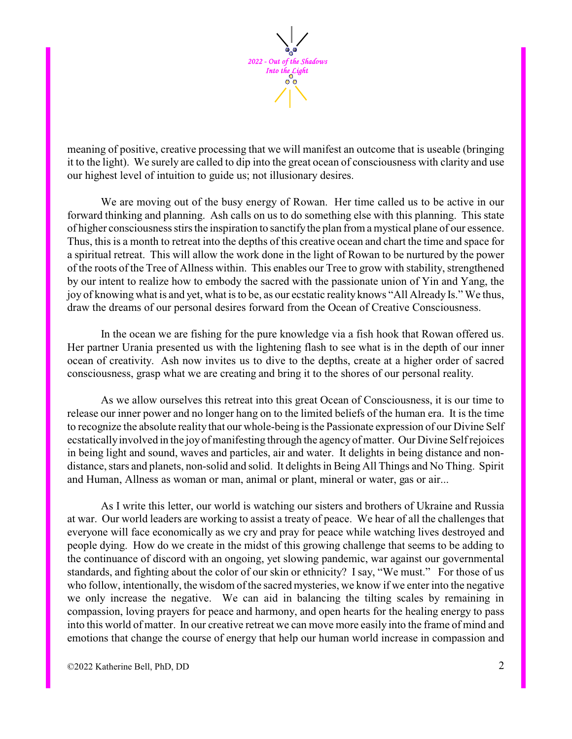

meaning of positive, creative processing that we will manifest an outcome that is useable (bringing it to the light). We surely are called to dip into the great ocean of consciousness with clarity and use our highest level of intuition to guide us; not illusionary desires.

We are moving out of the busy energy of Rowan. Her time called us to be active in our forward thinking and planning. Ash calls on us to do something else with this planning. This state of higher consciousness stirs the inspiration to sanctifythe plan from a mystical plane of our essence. Thus, this is a month to retreat into the depths of this creative ocean and chart the time and space for a spiritual retreat. This will allow the work done in the light of Rowan to be nurtured by the power of the roots of the Tree of Allness within. This enables our Tree to grow with stability, strengthened by our intent to realize how to embody the sacred with the passionate union of Yin and Yang, the joy of knowing what is and yet, what is to be, as our ecstatic reality knows "All Already Is." We thus, draw the dreams of our personal desires forward from the Ocean of Creative Consciousness.

In the ocean we are fishing for the pure knowledge via a fish hook that Rowan offered us. Her partner Urania presented us with the lightening flash to see what is in the depth of our inner ocean of creativity. Ash now invites us to dive to the depths, create at a higher order of sacred consciousness, grasp what we are creating and bring it to the shores of our personal reality.

As we allow ourselves this retreat into this great Ocean of Consciousness, it is our time to release our inner power and no longer hang on to the limited beliefs of the human era. It is the time to recognize the absolute reality that our whole-being is the Passionate expression of our Divine Self ecstaticallyinvolved in the joy of manifesting through the agencyof matter. Our Divine Self rejoices in being light and sound, waves and particles, air and water. It delights in being distance and nondistance, stars and planets, non-solid and solid. It delights in Being All Things and No Thing. Spirit and Human, Allness as woman or man, animal or plant, mineral or water, gas or air...

As I write this letter, our world is watching our sisters and brothers of Ukraine and Russia at war. Our world leaders are working to assist a treaty of peace. We hear of all the challenges that everyone will face economically as we cry and pray for peace while watching lives destroyed and people dying. How do we create in the midst of this growing challenge that seems to be adding to the continuance of discord with an ongoing, yet slowing pandemic, war against our governmental standards, and fighting about the color of our skin or ethnicity? I say, "We must." For those of us who follow, intentionally, the wisdom of the sacred mysteries, we know if we enter into the negative we only increase the negative. We can aid in balancing the tilting scales by remaining in compassion, loving prayers for peace and harmony, and open hearts for the healing energy to pass into this world of matter. In our creative retreat we can move more easily into the frame of mind and emotions that change the course of energy that help our human world increase in compassion and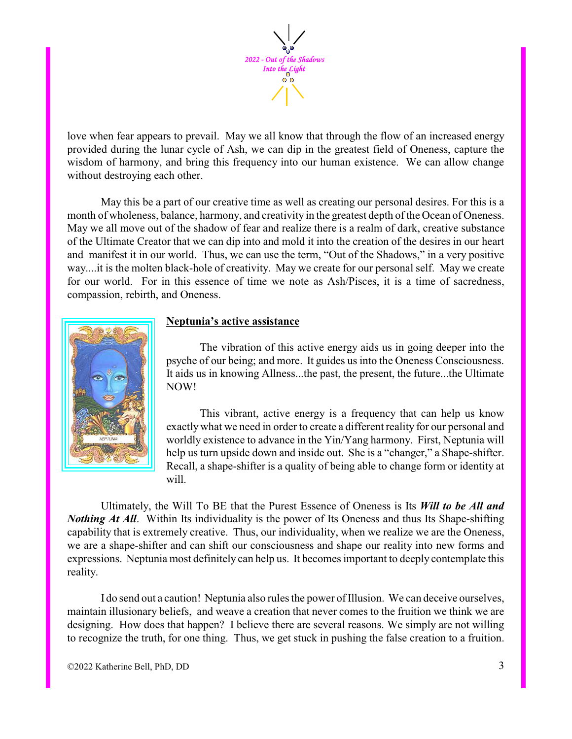

love when fear appears to prevail. May we all know that through the flow of an increased energy provided during the lunar cycle of Ash, we can dip in the greatest field of Oneness, capture the wisdom of harmony, and bring this frequency into our human existence. We can allow change without destroying each other.

May this be a part of our creative time as well as creating our personal desires. For this is a month of wholeness, balance, harmony, and creativity in the greatest depth of the Ocean of Oneness. May we all move out of the shadow of fear and realize there is a realm of dark, creative substance of the Ultimate Creator that we can dip into and mold it into the creation of the desires in our heart and manifest it in our world. Thus, we can use the term, "Out of the Shadows," in a very positive way....it is the molten black-hole of creativity. May we create for our personal self. May we create for our world. For in this essence of time we note as Ash/Pisces, it is a time of sacredness, compassion, rebirth, and Oneness.



### **Neptunia's active assistance**

The vibration of this active energy aids us in going deeper into the psyche of our being; and more. It guides us into the Oneness Consciousness. It aids us in knowing Allness...the past, the present, the future...the Ultimate NOW!

This vibrant, active energy is a frequency that can help us know exactly what we need in order to create a different reality for our personal and worldly existence to advance in the Yin/Yang harmony. First, Neptunia will help us turn upside down and inside out. She is a "changer," a Shape-shifter. Recall, a shape-shifter is a quality of being able to change form or identity at will.

Ultimately, the Will To BE that the Purest Essence of Oneness is Its *Will to be All and Nothing At All.* Within Its individuality is the power of Its Oneness and thus Its Shape-shifting capability that is extremely creative. Thus, our individuality, when we realize we are the Oneness, we are a shape-shifter and can shift our consciousness and shape our reality into new forms and expressions. Neptunia most definitely can help us. It becomes important to deeply contemplate this reality.

I do send out a caution! Neptunia also rules the power of Illusion. We can deceive ourselves, maintain illusionary beliefs, and weave a creation that never comes to the fruition we think we are designing. How does that happen? I believe there are several reasons. We simply are not willing to recognize the truth, for one thing. Thus, we get stuck in pushing the false creation to a fruition.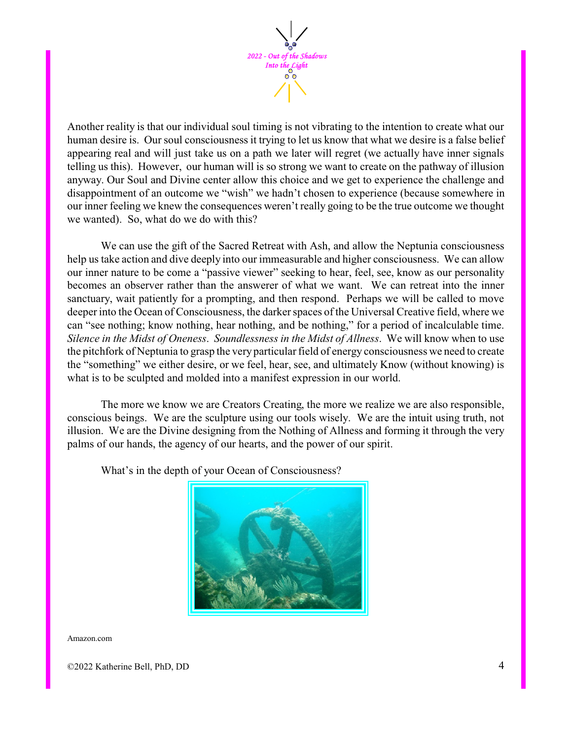

Another reality is that our individual soul timing is not vibrating to the intention to create what our human desire is. Our soul consciousness it trying to let us know that what we desire is a false belief appearing real and will just take us on a path we later will regret (we actually have inner signals telling us this). However, our human will is so strong we want to create on the pathway of illusion anyway. Our Soul and Divine center allow this choice and we get to experience the challenge and disappointment of an outcome we "wish" we hadn't chosen to experience (because somewhere in our inner feeling we knew the consequences weren't really going to be the true outcome we thought we wanted). So, what do we do with this?

We can use the gift of the Sacred Retreat with Ash, and allow the Neptunia consciousness help us take action and dive deeply into our immeasurable and higher consciousness. We can allow our inner nature to be come a "passive viewer" seeking to hear, feel, see, know as our personality becomes an observer rather than the answerer of what we want. We can retreat into the inner sanctuary, wait patiently for a prompting, and then respond. Perhaps we will be called to move deeper into the Ocean of Consciousness, the darker spaces of the Universal Creative field, where we can "see nothing; know nothing, hear nothing, and be nothing," for a period of incalculable time. *Silence in the Midst of Oneness*. *Soundlessness in the Midst of Allness*. We will know when to use the pitchfork of Neptunia to grasp the very particular field of energy consciousness we need to create the "something" we either desire, or we feel, hear, see, and ultimately Know (without knowing) is what is to be sculpted and molded into a manifest expression in our world.

The more we know we are Creators Creating, the more we realize we are also responsible, conscious beings. We are the sculpture using our tools wisely. We are the intuit using truth, not illusion. We are the Divine designing from the Nothing of Allness and forming it through the very palms of our hands, the agency of our hearts, and the power of our spirit.



What's in the depth of your Ocean of Consciousness?

Amazon.com

©2022 Katherine Bell, PhD, DD 4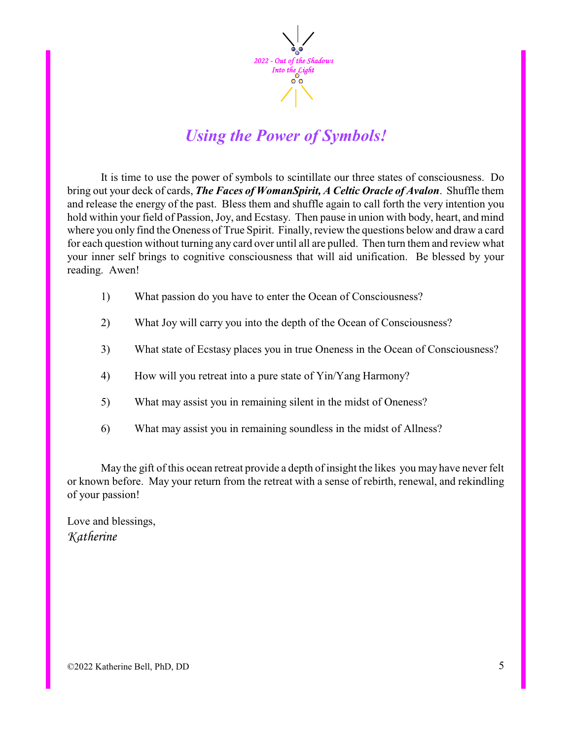

## *Using the Power of Symbols!*

It is time to use the power of symbols to scintillate our three states of consciousness. Do bring out your deck of cards, *The Faces of WomanSpirit, A Celtic Oracle of Avalon*. Shuffle them and release the energy of the past. Bless them and shuffle again to call forth the very intention you hold within your field of Passion, Joy, and Ecstasy. Then pause in union with body, heart, and mind where you only find the Oneness of True Spirit. Finally, review the questions below and draw a card for each question without turning any card over until all are pulled. Then turn them and review what your inner self brings to cognitive consciousness that will aid unification. Be blessed by your reading. Awen!

- 1) What passion do you have to enter the Ocean of Consciousness?
- 2) What Joy will carry you into the depth of the Ocean of Consciousness?
- 3) What state of Ecstasy places you in true Oneness in the Ocean of Consciousness?
- 4) How will you retreat into a pure state of Yin/Yang Harmony?
- 5) What may assist you in remaining silent in the midst of Oneness?
- 6) What may assist you in remaining soundless in the midst of Allness?

May the gift of this ocean retreat provide a depth of insight the likes you may have never felt or known before. May your return from the retreat with a sense of rebirth, renewal, and rekindling of your passion!

Love and blessings, *Katherine*